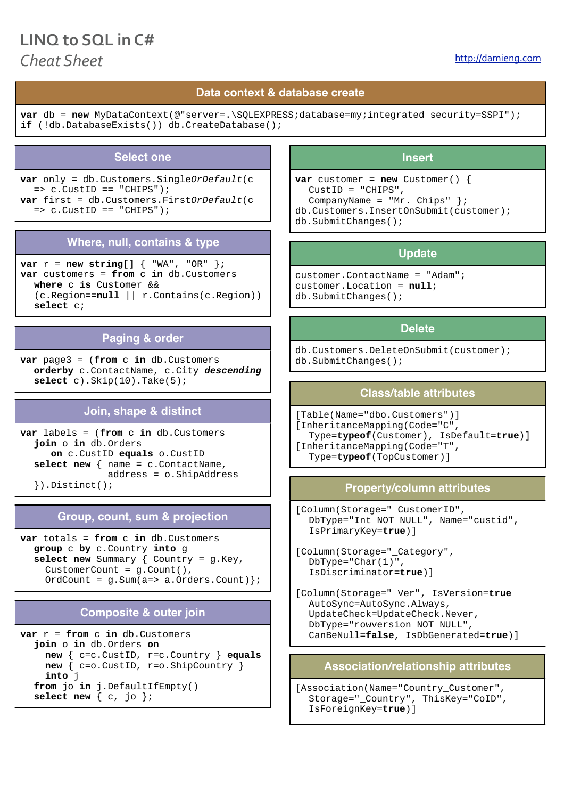# LINO to SOL in C# *Cheat* Sheet **<http://damieng.com>**

# **Data context & database create**

**var** db = **new** MyDataContext(@"server=.\SOLEXPRESS;database=my;integrated security=SSPI"); **if** (!db.DatabaseExists()) db.CreateDatabase();

#### **Select one**

**var** only = db.Customers.Single*OrDefault*(c  $=$   $\circ$   $\tilde{C}$ ustID  $=$  "CHIPS"); **var** first = db.Customers.First*OrDefault*(c  $=$   $\circ$ . CustID  $=$  "CHIPS");

# **Where, null, contains & type**

**var** r = **new string[]** { "WA", "OR" }**; var** customers = **from** c **in** db.Customers **where** c **is** Customer && (c.Region==**null** || r.Contains(c.Region)) **select** c;

#### **Paging & order**

**var** page3 = (**from** c **in** db.Customers **orderby** c.ContactName, c.City *descending* **select** c).Skip(10).Take(5);

#### **Join, shape & distinct**

**var** labels = (**from** c **in** db.Customers **join** o **in** db.Orders **on** c.CustID **equals** o.CustID **select new** { name = c.ContactName, address = o.ShipAddress }).Distinct();

# **Group, count, sum & projection**

**var** totals = **from** c **in** db.Customers **group** c **by** c.Country **into** g **select new** Summary { Country = g.Key, CustomerCount = g.Count(),  $OrdCount = q.Sum(a=> a.Orders.Count)$ ;

#### **Composite & outer join**

**var** r = **from** c **in** db.Customers **join** o **in** db.Orders **on new** { c=c.CustID, r=c.Country } **equals new** { c=o.CustID, r=o.ShipCountry } **into** j **from** jo **in** j.DefaultIfEmpty() **select new** { c, jo };

#### **Insert**

**var** customer =  $new$  Customer() { CustID = "CHIPS", CompanyName =  $"Mr. Chips"$  }; db.Customers.InsertOnSubmit(customer); db.SubmitChanges();

#### **Update**

customer.ContactName = "Adam"; customer.Location = **null**; db.SubmitChanges();

#### **Delete**

db.Customers.DeleteOnSubmit(customer); db.SubmitChanges();

#### **Class/table attributes**

[Table(Name="dbo.Customers")] [InheritanceMapping(Code="C", Type=**typeof**(Customer), IsDefault=**true**)] [InheritanceMapping(Code="T", Type=**typeof**(TopCustomer)]

#### **Property/column attributes**

[Column(Storage="\_CustomerID", DbType="Int NOT NULL", Name="custid", IsPrimaryKey=**true**)]

[Column(Storage="\_Category", DbType="Char(1)", IsDiscriminator=**true**)]

[Column(Storage="\_Ver", IsVersion=**true** AutoSync=AutoSync.Always, UpdateCheck=UpdateCheck.Never, DbType="rowversion NOT NULL", CanBeNull=**false**, IsDbGenerated=**true**)]

#### **Association/relationship attributes**

[Association(Name="Country\_Customer", Storage="\_Country", ThisKey="CoID", IsForeignKey=**true**)]